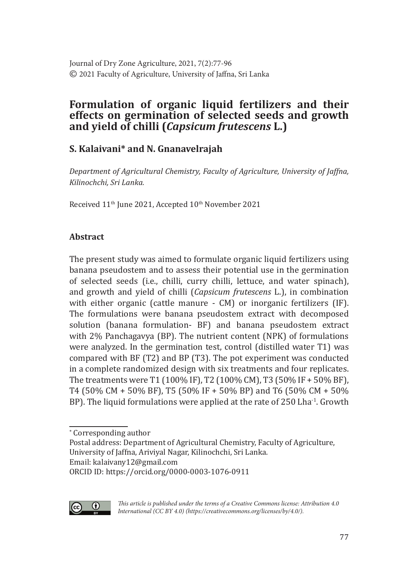# **Formulation of organic liquid fertilizers and their effects on germination of selected seeds and growth and yield of chilli (***Capsicum frutescens* **L.)**

# **S. Kalaivani\* and N. Gnanavelrajah**

*Department of Agricultural Chemistry, Faculty of Agriculture, University of Jaffna, Kilinochchi, Sri Lanka.*

Received 11<sup>th</sup> June 2021, Accepted 10<sup>th</sup> November 2021

## **Abstract**

The present study was aimed to formulate organic liquid fertilizers using banana pseudostem and to assess their potential use in the germination of selected seeds (i.e., chilli, curry chilli, lettuce, and water spinach), and growth and yield of chilli (*Capsicum frutescens* L.), in combination with either organic (cattle manure - CM) or inorganic fertilizers (IF). The formulations were banana pseudostem extract with decomposed solution (banana formulation- BF) and banana pseudostem extract with 2% Panchagavya (BP). The nutrient content (NPK) of formulations were analyzed. In the germination test, control (distilled water T1) was compared with BF (T2) and BP (T3). The pot experiment was conducted in a complete randomized design with six treatments and four replicates. The treatments were T1 (100% IF), T2 (100% CM), T3 (50% IF + 50% BF), T4 (50% CM + 50% BF), T5 (50% IF + 50% BP) and T6 (50% CM + 50% BP). The liquid formulations were applied at the rate of 250 Lha<sup>-1</sup>. Growth

ORCID ID: https://orcid.org/0000-0003-1076-0911



*This article is published under the terms of a Creative Commons license: Attribution 4.0 International (CC BY 4.0) (https://creativecommons.org/licenses/by/4.0/).*

<sup>∗</sup> Corresponding author

Postal address: Department of Agricultural Chemistry, Faculty of Agriculture, University of Jaffna, Ariviyal Nagar, Kilinochchi, Sri Lanka.

Email: kalaivany12@gmail.com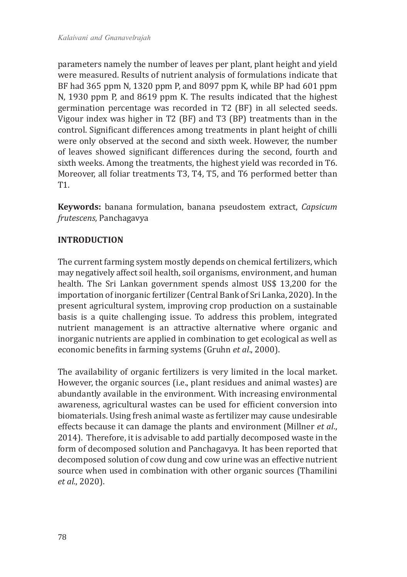parameters namely the number of leaves per plant, plant height and yield were measured. Results of nutrient analysis of formulations indicate that BF had 365 ppm N, 1320 ppm P, and 8097 ppm K, while BP had 601 ppm N, 1930 ppm P, and 8619 ppm K. The results indicated that the highest germination percentage was recorded in T2 (BF) in all selected seeds. Vigour index was higher in T2 (BF) and T3 (BP) treatments than in the control. Significant differences among treatments in plant height of chilli were only observed at the second and sixth week. However, the number of leaves showed significant differences during the second, fourth and sixth weeks. Among the treatments, the highest yield was recorded in T6. Moreover, all foliar treatments T3, T4, T5, and T6 performed better than T1.

**Keywords:** banana formulation, banana pseudostem extract, *Capsicum frutescens*, Panchagavya

## **INTRODUCTION**

The current farming system mostly depends on chemical fertilizers, which may negatively affect soil health, soil organisms, environment, and human health. The Sri Lankan government spends almost US\$ 13,200 for the importation of inorganic fertilizer (Central Bank of Sri Lanka, 2020). In the present agricultural system, improving crop production on a sustainable basis is a quite challenging issue. To address this problem, integrated nutrient management is an attractive alternative where organic and inorganic nutrients are applied in combination to get ecological as well as economic benefits in farming systems (Gruhn *et al*., 2000).

The availability of organic fertilizers is very limited in the local market. However, the organic sources (i.e., plant residues and animal wastes) are abundantly available in the environment. With increasing environmental awareness, agricultural wastes can be used for efficient conversion into biomaterials. Using fresh animal waste as fertilizer may cause undesirable effects because it can damage the plants and environment (Millner *et al*., 2014). Therefore, it is advisable to add partially decomposed waste in the form of decomposed solution and Panchagavya. It has been reported that decomposed solution of cow dung and cow urine was an effective nutrient source when used in combination with other organic sources (Thamilini *et al.*, 2020).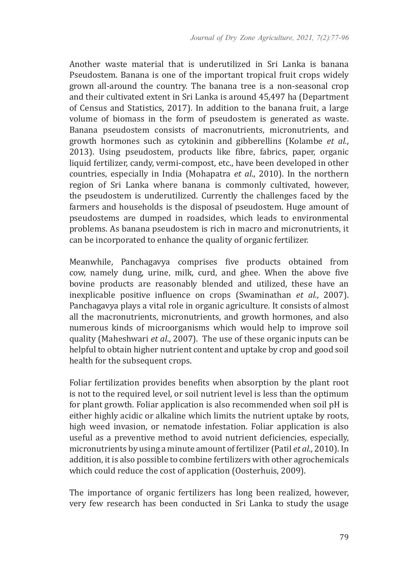Another waste material that is underutilized in Sri Lanka is banana Pseudostem. Banana is one of the important tropical fruit crops widely grown all-around the country. The banana tree is a non-seasonal crop and their cultivated extent in Sri Lanka is around 45,497 ha (Department of Census and Statistics, 2017). In addition to the banana fruit, a large volume of biomass in the form of pseudostem is generated as waste. Banana pseudostem consists of macronutrients, micronutrients, and growth hormones such as cytokinin and gibberellins (Kolambe *et al.*, 2013). Using pseudostem, products like fibre, fabrics, paper, organic liquid fertilizer, candy, vermi-compost, etc., have been developed in other countries, especially in India (Mohapatra *et al*., 2010). In the northern region of Sri Lanka where banana is commonly cultivated, however, the pseudostem is underutilized. Currently the challenges faced by the farmers and households is the disposal of pseudostem. Huge amount of pseudostems are dumped in roadsides, which leads to environmental problems. As banana pseudostem is rich in macro and micronutrients, it can be incorporated to enhance the quality of organic fertilizer.

Meanwhile, Panchagavya comprises five products obtained from cow, namely dung, urine, milk, curd, and ghee. When the above five bovine products are reasonably blended and utilized, these have an inexplicable positive influence on crops (Swaminathan *et al.*, 2007). Panchagavya plays a vital role in organic agriculture. It consists of almost all the macronutrients, micronutrients, and growth hormones, and also numerous kinds of microorganisms which would help to improve soil quality (Maheshwari *et al*., 2007). The use of these organic inputs can be helpful to obtain higher nutrient content and uptake by crop and good soil health for the subsequent crops.

Foliar fertilization provides benefits when absorption by the plant root is not to the required level, or soil nutrient level is less than the optimum for plant growth. Foliar application is also recommended when soil pH is either highly acidic or alkaline which limits the nutrient uptake by roots, high weed invasion, or nematode infestation. Foliar application is also useful as a preventive method to avoid nutrient deficiencies, especially, micronutrients by using a minute amount of fertilizer (Patil *et al*., 2010). In addition, it is also possible to combine fertilizers with other agrochemicals which could reduce the cost of application (Oosterhuis, 2009).

The importance of organic fertilizers has long been realized, however, very few research has been conducted in Sri Lanka to study the usage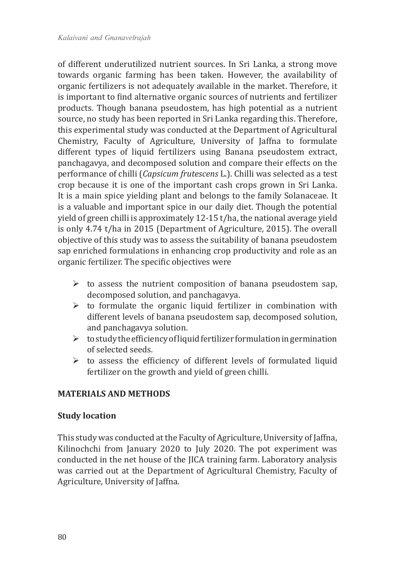of different underutilized nutrient sources. In Sri Lanka, a strong move towards organic farming has been taken. However, the availability of organic fertilizers is not adequately available in the market. Therefore, it is important to find alternative organic sources of nutrients and fertilizer products. Though banana pseudostem, has high potential as a nutrient source, no study has been reported in Sri Lanka regarding this. Therefore, this experimental study was conducted at the Department of Agricultural Chemistry, Faculty of Agriculture, University of Jaffna to formulate different types of liquid fertilizers using Banana pseudostem extract, panchagavya, and decomposed solution and compare their effects on the performance of chilli (*Capsicum frutescens* L.). Chilli was selected as a test crop because it is one of the important cash crops grown in Sri Lanka. It is a main spice yielding plant and belongs to the family Solanaceae. It is a valuable and important spice in our daily diet. Though the potential yield of green chilli is approximately 12-15 t/ha, the national average yield is only 4.74 t/ha in 2015 (Department of Agriculture, 2015). The overall objective of this study was to assess the suitability of banana pseudostem sap enriched formulations in enhancing crop productivity and role as an organic fertilizer. The specific objectives were

- $\triangleright$  to assess the nutrient composition of banana pseudostem sap, decomposed solution, and panchagavya.
- $\triangleright$  to formulate the organic liquid fertilizer in combination with different levels of banana pseudostem sap, decomposed solution, and panchagavya solution.
- $\triangleright$  to study the efficiency of liquid fertilizer formulation in germination of selected seeds.
- $\triangleright$  to assess the efficiency of different levels of formulated liquid fertilizer on the growth and yield of green chilli.

## **MATERIALS AND METHODS**

### **Study location**

This study was conducted at the Faculty of Agriculture, University of Jaffna, Kilinochchi from January 2020 to July 2020. The pot experiment was conducted in the net house of the JICA training farm. Laboratory analysis was carried out at the Department of Agricultural Chemistry, Faculty of Agriculture, University of Jaffna.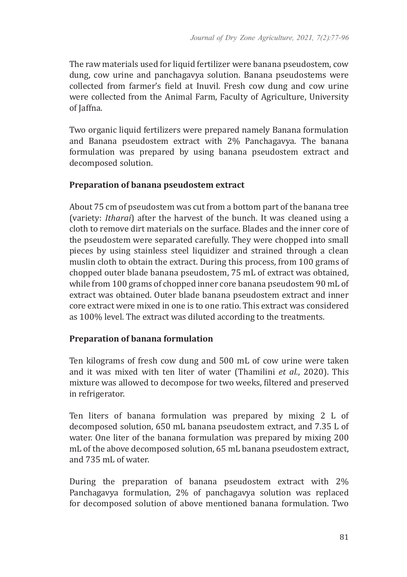The raw materials used for liquid fertilizer were banana pseudostem, cow dung, cow urine and panchagavya solution. Banana pseudostems were collected from farmer's field at Inuvil. Fresh cow dung and cow urine were collected from the Animal Farm, Faculty of Agriculture, University of Jaffna.

Two organic liquid fertilizers were prepared namely Banana formulation and Banana pseudostem extract with 2% Panchagavya. The banana formulation was prepared by using banana pseudostem extract and decomposed solution.

### **Preparation of banana pseudostem extract**

About 75 cm of pseudostem was cut from a bottom part of the banana tree (variety: *Itharai*) after the harvest of the bunch. It was cleaned using a cloth to remove dirt materials on the surface. Blades and the inner core of the pseudostem were separated carefully. They were chopped into small pieces by using stainless steel liquidizer and strained through a clean muslin cloth to obtain the extract. During this process, from 100 grams of chopped outer blade banana pseudostem, 75 mL of extract was obtained, while from 100 grams of chopped inner core banana pseudostem 90 mL of extract was obtained. Outer blade banana pseudostem extract and inner core extract were mixed in one is to one ratio. This extract was considered as 100% level. The extract was diluted according to the treatments.

### **Preparation of banana formulation**

Ten kilograms of fresh cow dung and 500 mL of cow urine were taken and it was mixed with ten liter of water (Thamilini *et al.*, 2020). This mixture was allowed to decompose for two weeks, filtered and preserved in refrigerator.

Ten liters of banana formulation was prepared by mixing 2 L of decomposed solution, 650 mL banana pseudostem extract, and 7.35 L of water. One liter of the banana formulation was prepared by mixing 200 mL of the above decomposed solution, 65 mL banana pseudostem extract, and 735 mL of water.

During the preparation of banana pseudostem extract with 2% Panchagavya formulation, 2% of panchagavya solution was replaced for decomposed solution of above mentioned banana formulation. Two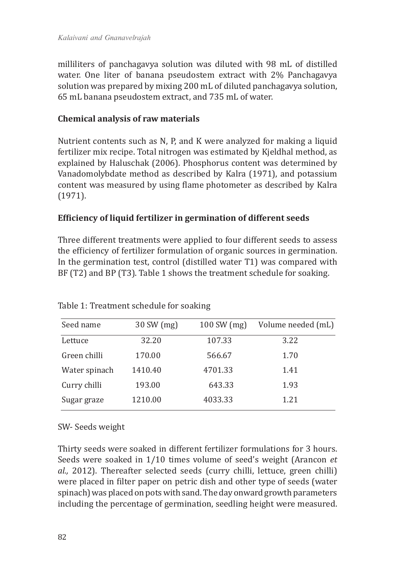milliliters of panchagavya solution was diluted with 98 mL of distilled water. One liter of banana pseudostem extract with 2% Panchagavya solution was prepared by mixing 200 mL of diluted panchagavya solution, 65 mL banana pseudostem extract, and 735 mL of water.

### **Chemical analysis of raw materials**

Nutrient contents such as N, P, and K were analyzed for making a liquid fertilizer mix recipe. Total nitrogen was estimated by Kjeldhal method, as explained by Haluschak (2006). Phosphorus content was determined by Vanadomolybdate method as described by Kalra (1971), and potassium content was measured by using flame photometer as described by Kalra (1971).

### **Efficiency of liquid fertilizer in germination of different seeds**

Three different treatments were applied to four different seeds to assess the efficiency of fertilizer formulation of organic sources in germination. In the germination test, control (distilled water T1) was compared with BF (T2) and BP (T3). Table 1 shows the treatment schedule for soaking.

| Seed name     | 30 SW (mg) | 100 SW (mg) | Volume needed (mL) |
|---------------|------------|-------------|--------------------|
| Lettuce       | 32.20      | 107.33      | 3.22               |
| Green chilli  | 170.00     | 566.67      | 1.70               |
| Water spinach | 1410.40    | 4701.33     | 1.41               |
| Curry chilli  | 193.00     | 643.33      | 1.93               |
| Sugar graze   | 1210.00    | 4033.33     | 1.21               |

Table 1: Treatment schedule for soaking

SW- Seeds weight

Thirty seeds were soaked in different fertilizer formulations for 3 hours. Seeds were soaked in 1/10 times volume of seed's weight (Arancon *et al.,* 2012). Thereafter selected seeds (curry chilli, lettuce, green chilli) were placed in filter paper on petric dish and other type of seeds (water spinach) was placed on pots with sand. The day onward growth parameters including the percentage of germination, seedling height were measured.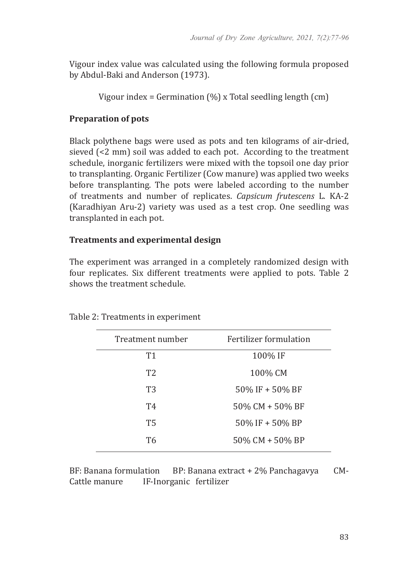Vigour index value was calculated using the following formula proposed by Abdul-Baki and Anderson (1973).

Vigour index = Germination (%) x Total seedling length (cm)

### **Preparation of pots**

Black polythene bags were used as pots and ten kilograms of air-dried, sieved (<2 mm) soil was added to each pot. According to the treatment schedule, inorganic fertilizers were mixed with the topsoil one day prior to transplanting. Organic Fertilizer (Cow manure) was applied two weeks before transplanting. The pots were labeled according to the number of treatments and number of replicates. *Capsicum frutescens* L. KA-2 (Karadhiyan Aru-2) variety was used as a test crop. One seedling was transplanted in each pot.

### **Treatments and experimental design**

The experiment was arranged in a completely randomized design with four replicates. Six different treatments were applied to pots. Table 2 shows the treatment schedule.

| Treatment number | Fertilizer formulation |
|------------------|------------------------|
| T1               | 100% IF                |
| T <sub>2</sub>   | 100% CM                |
| T <sub>3</sub>   | $50\%$ IF + 50% BF     |
| T4               | 50% CM + 50% BF        |
| <b>T5</b>        | $50\%$ IF + 50% BP     |
| T6               | 50% CM + 50% BP        |
|                  |                        |

Table 2: Treatments in experiment

BF: Banana formulation BP: Banana extract + 2% Panchagavya CM-<br>Cattle manure IF-Inorganic fertilizer IF-Inorganic fertilizer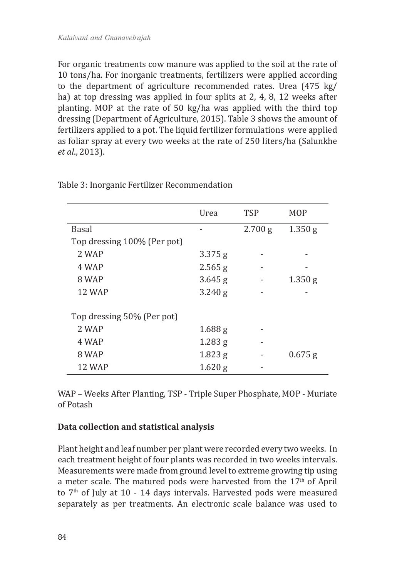For organic treatments cow manure was applied to the soil at the rate of 10 tons/ha. For inorganic treatments, fertilizers were applied according to the department of agriculture recommended rates. Urea (475 kg/ ha) at top dressing was applied in four splits at 2, 4, 8, 12 weeks after planting. MOP at the rate of 50 kg/ha was applied with the third top dressing (Department of Agriculture, 2015). Table 3 shows the amount of fertilizers applied to a pot. The liquid fertilizer formulations were applied as foliar spray at every two weeks at the rate of 250 liters/ha (Salunkhe *et al*., 2013).

|                             | Urea      | <b>TSP</b> | <b>MOP</b> |
|-----------------------------|-----------|------------|------------|
| <b>Basal</b>                |           | 2.700 g    | 1.350 g    |
| Top dressing 100% (Per pot) |           |            |            |
| 2 WAP                       | $3.375$ g |            |            |
| 4 WAP                       | $2.565$ g |            |            |
| 8 WAP                       | $3.645$ g |            | 1.350 g    |
| <b>12 WAP</b>               | $3.240$ g |            |            |
| Top dressing 50% (Per pot)  |           |            |            |
| 2 WAP                       | $1.688$ g |            |            |
| 4 WAP                       | $1.283$ g |            |            |
| 8 WAP                       | $1.823$ g |            | $0.675$ g  |
| 12 WAP                      | $1.620$ g |            |            |

Table 3: Inorganic Fertilizer Recommendation

WAP – Weeks After Planting, TSP - Triple Super Phosphate, MOP - Muriate of Potash

### **Data collection and statistical analysis**

Plant height and leaf number per plant were recorded every two weeks. In each treatment height of four plants was recorded in two weeks intervals. Measurements were made from ground level to extreme growing tip using a meter scale. The matured pods were harvested from the  $17<sup>th</sup>$  of April to  $7<sup>th</sup>$  of July at 10 - 14 days intervals. Harvested pods were measured separately as per treatments. An electronic scale balance was used to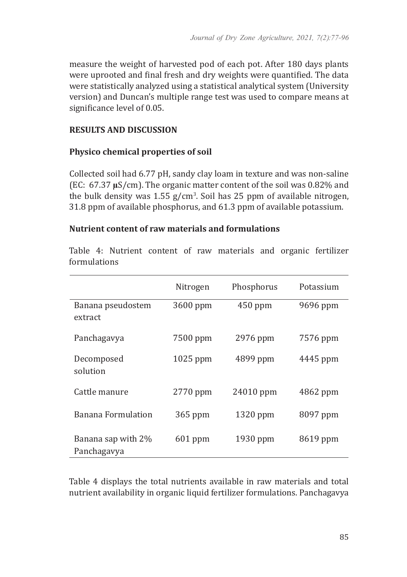measure the weight of harvested pod of each pot. After 180 days plants were uprooted and final fresh and dry weights were quantified. The data were statistically analyzed using a statistical analytical system (University version) and Duncan's multiple range test was used to compare means at significance level of 0.05.

### **RESULTS AND DISCUSSION**

#### **Physico chemical properties of soil**

Collected soil had 6.77 pH, sandy clay loam in texture and was non-saline (EC: 67.37 **µ**S/cm). The organic matter content of the soil was 0.82% and the bulk density was 1.55 g/cm<sup>3</sup>. Soil has 25 ppm of available nitrogen, 31.8 ppm of available phosphorus, and 61.3 ppm of available potassium.

#### **Nutrient content of raw materials and formulations**

Table 4: Nutrient content of raw materials and organic fertilizer formulations

|                                   | Nitrogen  | Phosphorus | Potassium |
|-----------------------------------|-----------|------------|-----------|
| Banana pseudostem<br>extract      | 3600 ppm  | $450$ ppm  | 9696 ppm  |
| Panchagavya                       | 7500 ppm  | 2976 ppm   | 7576 ppm  |
| Decomposed<br>solution            | 1025 ppm  | 4899 ppm   | 4445 ppm  |
| Cattle manure                     | 2770 ppm  | 24010 ppm  | 4862 ppm  |
| Banana Formulation                | 365 ppm   | $1320$ ppm | 8097 ppm  |
| Banana sap with 2%<br>Panchagavya | $601$ ppm | 1930 ppm   | 8619 ppm  |

Table 4 displays the total nutrients available in raw materials and total nutrient availability in organic liquid fertilizer formulations. Panchagavya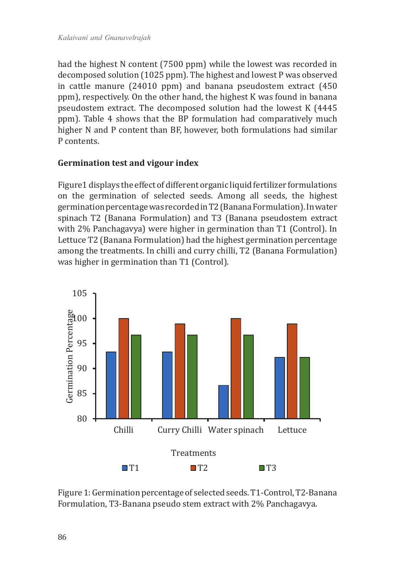had the highest N content (7500 ppm) while the lowest was recorded in decomposed solution (1025 ppm). The highest and lowest P was observed in cattle manure (24010 ppm) and banana pseudostem extract (450 ppm), respectively. On the other hand, the highest K was found in banana pseudostem extract. The decomposed solution had the lowest K (4445 ppm). Table 4 shows that the BP formulation had comparatively much higher N and P content than BF, however, both formulations had similar P contents.

#### **Germination test and vigour index**

Figure1 displays the effect of different organic liquid fertilizer formulations on the germination of selected seeds. Among all seeds, the highest germination percentage was recorded in T2 (Banana Formulation). In water spinach T2 (Banana Formulation) and T3 (Banana pseudostem extract with 2% Panchagavya) were higher in germination than T1 (Control). In Lettuce T2 (Banana Formulation) had the highest germination percentage among the treatments. In chilli and curry chilli, T2 (Banana Formulation) was higher in germination than T1 (Control).



Figure 1: Germination percentage of selected seeds. T1-Control, T2-Banana Formulation, T3-Banana pseudo stem extract with 2% Panchagavya.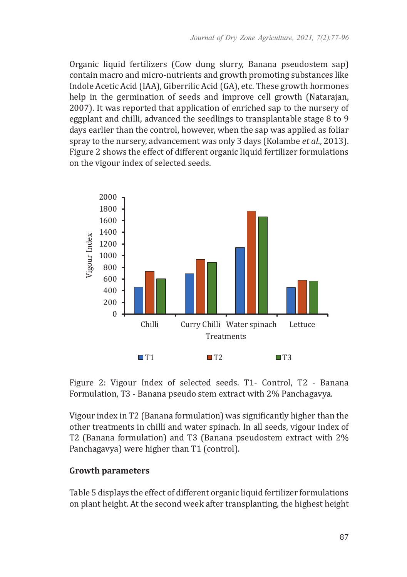Organic liquid fertilizers (Cow dung slurry, Banana pseudostem sap) contain macro and micro-nutrients and growth promoting substances like Indole Acetic Acid (IAA), Giberrilic Acid (GA), etc. These growth hormones help in the germination of seeds and improve cell growth (Natarajan, 2007). It was reported that application of enriched sap to the nursery of eggplant and chilli, advanced the seedlings to transplantable stage 8 to 9 days earlier than the control, however, when the sap was applied as foliar spray to the nursery, advancement was only 3 days (Kolambe *et al*., 2013). Figure 2 shows the effect of different organic liquid fertilizer formulations on the vigour index of selected seeds.



Figure 2: Vigour Index of selected seeds. T1- Control, T2 - Banana Formulation, T3 - Banana pseudo stem extract with 2% Panchagavya.

Vigour index in T2 (Banana formulation) was significantly higher than the other treatments in chilli and water spinach. In all seeds, vigour index of T2 (Banana formulation) and T3 (Banana pseudostem extract with 2% Panchagavya) were higher than T1 (control).

### **Growth parameters**

Table 5 displays the effect of different organic liquid fertilizer formulations on plant height. At the second week after transplanting, the highest height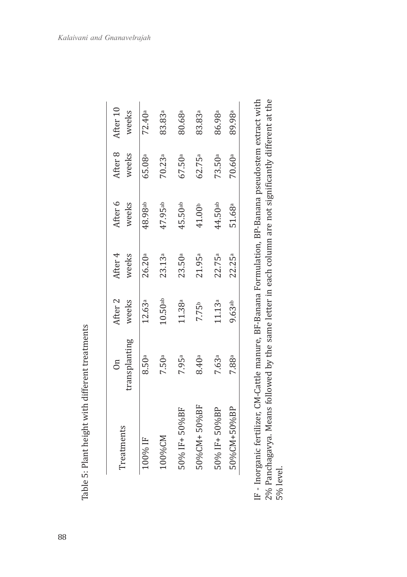| Ï<br>l                          |
|---------------------------------|
| ŀ<br>l<br>l<br>l<br>í<br>ļ<br>ľ |
| ı<br>ı                          |
| i<br>ţ<br>١<br>ļ                |
|                                 |
| Ī<br>l<br>ŀ<br>I<br>ļ<br>I      |

| reatments            | transplanting<br>$\sin$ | After <sub>2</sub><br>weeks | After <sub>4</sub><br>weeks | After 6<br>weeks   | After 8<br>weeks   | After 10<br>weeks  |
|----------------------|-------------------------|-----------------------------|-----------------------------|--------------------|--------------------|--------------------|
| 00% IF               | 8.50a                   | 12.63ª                      | 26.20a                      | 48.98ab            | 65.08ª             | 72.40 <sup>a</sup> |
| $M$ 2%00 $\sim$      | ,50ª                    | 10.50a                      | 23.13ª                      | 47.95ab            | 70.23ª             | 83.83ª             |
| $50\%$ IF+50%BF      | 7.95ª                   | 11.38ª                      | 23.50a                      | $45.50$ ab         | 67.50ª             | 80.68ª             |
| $50\%$ CM+ $50\%$ BF | 8.40ª                   | 7.75b                       | 21.95ª                      | 41.00 <sup>b</sup> | 62.75 <sup>a</sup> | 83.83ª             |
| 50% IF+50%BP         | 7.63ª                   | 11.13 <sup>a</sup>          | 22.75a                      | 44.50ab            | 73.50a             | 86.98ª             |
| 50%CM+50%BP          | 7.88ª                   | 9.63 <sup>ab</sup>          | 22.25a                      | 51.68ª             | 70.60ª             | 89.98ª             |
|                      |                         |                             |                             |                    |                    |                    |

2% Panchagavya. Means followed by the same letter in each column are not significantly different at the<br>5% level. IF - Inorganic fertilizer, CM-Cattle manure, BF-Banana Formulation, BP-Banana pseudostem extract with IF - Inorganic fertilizer, CM-Cattle manure, BF-Banana Formulation, BP-Banana pseudostem extract with 2% Panchagavya. Means followed by the same letter in each column are not significantly different at the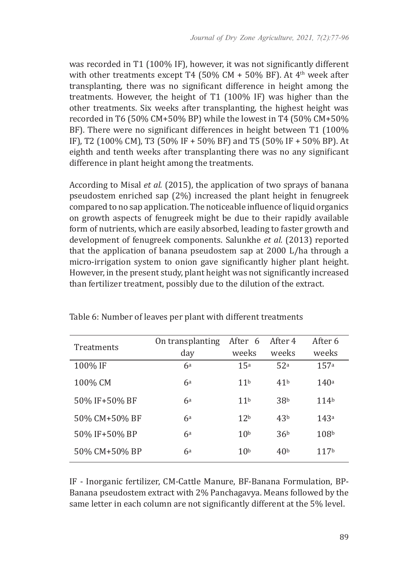was recorded in T1 (100% IF), however, it was not significantly different with other treatments except T4 (50% CM + 50% BF). At  $4<sup>th</sup>$  week after transplanting, there was no significant difference in height among the treatments. However, the height of T1 (100% IF) was higher than the other treatments. Six weeks after transplanting, the highest height was recorded in T6 (50% CM+50% BP) while the lowest in T4 (50% CM+50% BF). There were no significant differences in height between T1 (100% IF), T2 (100% CM), T3 (50% IF + 50% BF) and T5 (50% IF + 50% BP). At eighth and tenth weeks after transplanting there was no any significant difference in plant height among the treatments.

According to Misal *et al.* (2015), the application of two sprays of banana pseudostem enriched sap (2%) increased the plant height in fenugreek compared to no sap application. The noticeable influence of liquid organics on growth aspects of fenugreek might be due to their rapidly available form of nutrients, which are easily absorbed, leading to faster growth and development of fenugreek components. Salunkhe *et al.* (2013) reported that the application of banana pseudostem sap at 2000 L/ha through a micro-irrigation system to onion gave significantly higher plant height. However, in the present study, plant height was not significantly increased than fertilizer treatment, possibly due to the dilution of the extract.

| Treatments    | On transplanting<br>day | After 6<br>weeks | After 4<br>weeks | After 6<br>weeks  |
|---------------|-------------------------|------------------|------------------|-------------------|
| 100% IF       | 6a                      | 15a              | 52a              | 157a              |
| 100% CM       | 6a                      | 11 <sup>b</sup>  | 41 <sup>b</sup>  | 140a              |
| 50% IF+50% BF | 6a                      | 11 <sup>b</sup>  | 38 <sup>b</sup>  | 114b              |
| 50% CM+50% BF | 6a                      | 12 <sub>b</sub>  | 43 <sup>b</sup>  | 14.3 <sup>a</sup> |
| 50% IF+50% BP | 6a                      | 10 <sup>b</sup>  | 36 <sup>b</sup>  | 108 <sup>b</sup>  |
| 50% CM+50% BP | 6a                      | 10 <sup>b</sup>  | 40 <sup>b</sup>  | 117b              |

Table 6: Number of leaves per plant with different treatments

IF - Inorganic fertilizer, CM-Cattle Manure, BF-Banana Formulation, BP-Banana pseudostem extract with 2% Panchagavya. Means followed by the same letter in each column are not significantly different at the 5% level.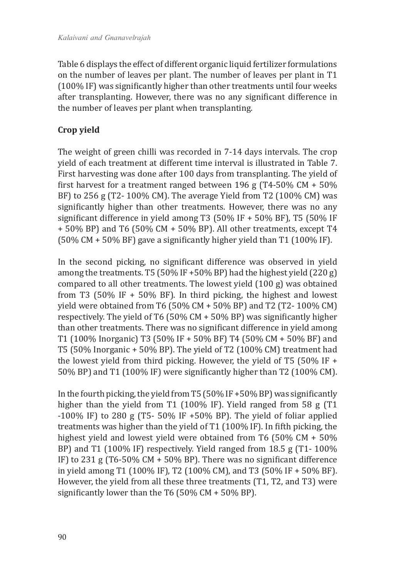Table 6 displays the effect of different organic liquid fertilizer formulations on the number of leaves per plant. The number of leaves per plant in T1 (100% IF) was significantly higher than other treatments until four weeks after transplanting. However, there was no any significant difference in the number of leaves per plant when transplanting.

## **Crop yield**

The weight of green chilli was recorded in 7-14 days intervals. The crop yield of each treatment at different time interval is illustrated in Table 7. First harvesting was done after 100 days from transplanting. The yield of first harvest for a treatment ranged between 196 g (T4-50%  $CM + 50%$ BF) to 256 g (T2- 100% CM). The average Yield from T2 (100% CM) was significantly higher than other treatments. However, there was no any significant difference in yield among T3 (50% IF + 50% BF), T5 (50% IF + 50% BP) and T6 (50% CM + 50% BP). All other treatments, except T4 (50% CM + 50% BF) gave a significantly higher yield than T1 (100% IF).

In the second picking, no significant difference was observed in yield among the treatments. T5 (50% IF +50% BP) had the highest yield (220 g) compared to all other treatments. The lowest yield (100 g) was obtained from T3 (50% IF + 50% BF). In third picking, the highest and lowest yield were obtained from T6 (50% CM + 50% BP) and T2 (T2- 100% CM) respectively. The yield of T6 (50% CM + 50% BP) was significantly higher than other treatments. There was no significant difference in yield among T1 (100% Inorganic) T3 (50% IF + 50% BF) T4 (50% CM + 50% BF) and T5 (50% Inorganic + 50% BP). The yield of T2 (100% CM) treatment had the lowest yield from third picking. However, the yield of T5 (50% IF + 50% BP) and T1 (100% IF) were significantly higher than T2 (100% CM).

In the fourth picking, the yield from T5 (50% IF +50% BP) was significantly higher than the yield from T1 (100% IF). Yield ranged from 58 g (T1 -100% IF) to 280 g (T5- 50% IF +50% BP). The yield of foliar applied treatments was higher than the yield of T1 (100% IF). In fifth picking, the highest yield and lowest yield were obtained from T6 (50% CM + 50% BP) and T1 (100% IF) respectively. Yield ranged from 18.5 g (T1- 100% IF) to 231 g (T6-50% CM + 50% BP). There was no significant difference in yield among T1 (100% IF), T2 (100% CM), and T3 (50% IF + 50% BF). However, the yield from all these three treatments (T1, T2, and T3) were significantly lower than the T6 (50% CM + 50% BP).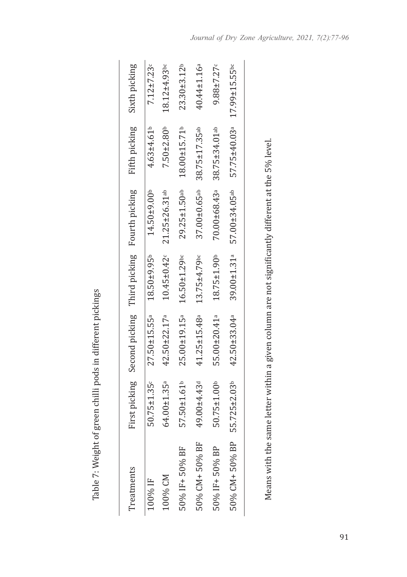Table 7: Weight of green chilli pods in different pickings Table 7: Weight of green chilli pods in different pickings

| Treatments    |                               | First picking Second picking Third picking Fourth picking |                     |                                 | Fifth picking  | Sixth picking     |
|---------------|-------------------------------|-----------------------------------------------------------|---------------------|---------------------------------|----------------|-------------------|
| 100% IF       | $50.75 \pm 1.35$ <sup>c</sup> | $27.50 \pm 15.55$ <sup>a</sup>                            | $18.50 + 9.95b$     | $14.50 \pm 9.00$ <sup>b</sup>   | $4.63 + 4.61b$ | $7.12 \pm 7.23$ c |
| L00% CM       | $64.00 \pm 1.35$ <sup>a</sup> | 42.50±22.17ª                                              | $10.45 \pm 0.42$    | 21.25±26.31ab                   | $7.50 + 2.80b$ | $18.12 + 4.93$ bc |
| 50% IF+50% BF | 57.50±1.61 <sup>b</sup>       | 25.00±19.15ª                                              | $16.50 \pm 1.29$ bc | $29.25 \pm 1.50$ <sup>ab</sup>  | 18.00±15.71b   | $23.30 + 3.12b$   |
| 50% CM+50% BF | 19.00±4.43 <sup>d</sup>       | 41.25±15.48ª                                              | 13.75±4.79bc        | $37.00 \pm 0.65$ <sup>ab</sup>  | 38.75±17.35ab  | 40.44±1.16ª       |
| 50% IF+50% BP | $50.75 \pm 1.00$ <sup>b</sup> | 55.00±20.41 <sup>a</sup>                                  | $18.75 \pm 1.90$    | 70.00±68.43ª                    | 38.75±34.01ab  | $9.88 + 7.27c$    |
| 50% CM+50% BP | 55.725±2.03 <sup>b</sup>      | 42.50±33.04ª                                              | 39.00±1.31ª         | $57.00 \pm 34.05$ <sup>ab</sup> | 57.75±40.03ª   | 17.99±15.55bc     |
|               |                               |                                                           |                     |                                 |                |                   |

Means with the same letter within a given column are not significantly different at the 5% level. Means with the same letter within a given column are not significantly different at the 5% level.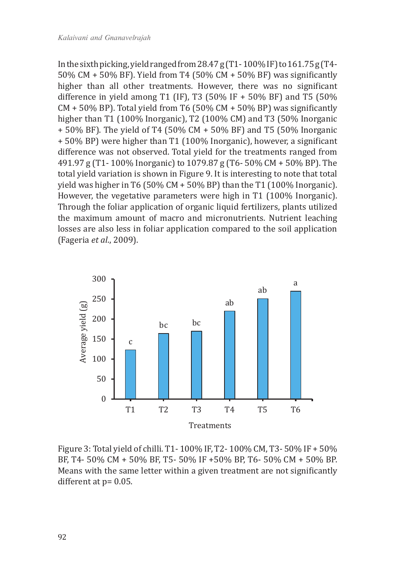In the sixth picking, yield ranged from  $28.47$  g (T1-100% IF) to  $161.75$  g (T4-50% CM + 50% BF). Yield from T4 (50% CM + 50% BF) was significantly higher than all other treatments. However, there was no significant difference in yield among T1 (IF), T3 (50% IF + 50% BF) and T5 (50%  $CM + 50\%$  BP). Total yield from T6 (50% CM + 50% BP) was significantly higher than T1 (100% Inorganic), T2 (100% CM) and T3 (50% Inorganic + 50% BF). The yield of T4 (50% CM + 50% BF) and T5 (50% Inorganic + 50% BP) were higher than T1 (100% Inorganic), however, a significant difference was not observed. Total yield for the treatments ranged from 491.97 g (T1- 100% Inorganic) to 1079.87 g (T6- 50% CM + 50% BP). The total yield variation is shown in Figure 9. It is interesting to note that total yield was higher in T6 (50% CM + 50% BP) than the T1 (100% Inorganic). However, the vegetative parameters were high in T1 (100% Inorganic). Through the foliar application of organic liquid fertilizers, plants utilized the maximum amount of macro and micronutrients. Nutrient leaching losses are also less in foliar application compared to the soil application (Fageria *et al*., 2009).



Figure 3: Total yield of chilli. T1- 100% IF, T2- 100% CM, T3- 50% IF + 50% BF, T4- 50% CM + 50% BF, T5- 50% IF +50% BP, T6- 50% CM + 50% BP. Means with the same letter within a given treatment are not significantly different at p= 0.05.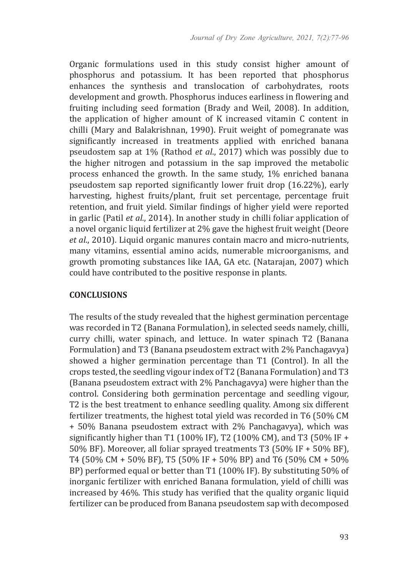Organic formulations used in this study consist higher amount of phosphorus and potassium. It has been reported that phosphorus enhances the synthesis and translocation of carbohydrates, roots development and growth. Phosphorus induces earliness in flowering and fruiting including seed formation (Brady and Weil, 2008). In addition, the application of higher amount of K increased vitamin C content in chilli (Mary and Balakrishnan, 1990). Fruit weight of pomegranate was significantly increased in treatments applied with enriched banana pseudostem sap at 1% (Rathod *et al*., 2017) which was possibly due to the higher nitrogen and potassium in the sap improved the metabolic process enhanced the growth. In the same study, 1% enriched banana pseudostem sap reported significantly lower fruit drop (16.22%), early harvesting, highest fruits/plant, fruit set percentage, percentage fruit retention, and fruit yield. Similar findings of higher yield were reported in garlic (Patil *et al.*, 2014). In another study in chilli foliar application of a novel organic liquid fertilizer at 2% gave the highest fruit weight (Deore *et al*., 2010). Liquid organic manures contain macro and micro-nutrients, many vitamins, essential amino acids, numerable microorganisms, and growth promoting substances like IAA, GA etc. (Natarajan, 2007) which could have contributed to the positive response in plants.

#### **CONCLUSIONS**

The results of the study revealed that the highest germination percentage was recorded in T2 (Banana Formulation), in selected seeds namely, chilli, curry chilli, water spinach, and lettuce. In water spinach T2 (Banana Formulation) and T3 (Banana pseudostem extract with 2% Panchagavya) showed a higher germination percentage than T1 (Control). In all the crops tested, the seedling vigour index of T2 (Banana Formulation) and T3 (Banana pseudostem extract with 2% Panchagavya) were higher than the control. Considering both germination percentage and seedling vigour, T2 is the best treatment to enhance seedling quality. Among six different fertilizer treatments, the highest total yield was recorded in T6 (50% CM + 50% Banana pseudostem extract with 2% Panchagavya), which was significantly higher than T1 (100% IF), T2 (100% CM), and T3 (50% IF + 50% BF). Moreover, all foliar sprayed treatments T3 (50% IF + 50% BF), T4 (50% CM + 50% BF), T5 (50% IF + 50% BP) and T6 (50% CM + 50% BP) performed equal or better than T1 (100% IF). By substituting 50% of inorganic fertilizer with enriched Banana formulation, yield of chilli was increased by 46%. This study has verified that the quality organic liquid fertilizer can be produced from Banana pseudostem sap with decomposed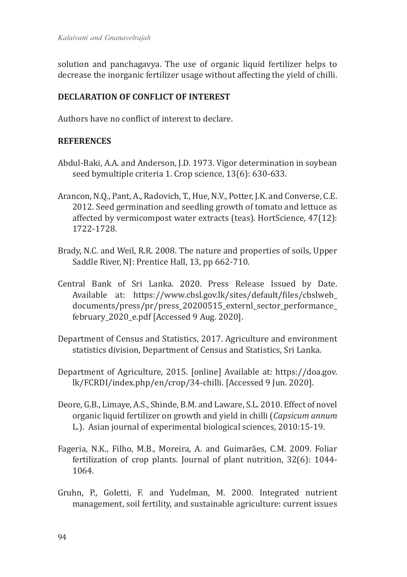solution and panchagavya. The use of organic liquid fertilizer helps to decrease the inorganic fertilizer usage without affecting the yield of chilli.

#### **DECLARATION OF CONFLICT OF INTEREST**

Authors have no conflict of interest to declare.

#### **REFERENCES**

- Abdul-Baki, A.A. and Anderson, J.D. 1973. Vigor determination in soybean seed bymultiple criteria 1. Crop science, 13(6): 630-633.
- Arancon, N.Q., Pant, A., Radovich, T., Hue, N.V., Potter, J.K. and Converse, C.E. 2012. Seed germination and seedling growth of tomato and lettuce as affected by vermicompost water extracts (teas). HortScience, 47(12): 1722-1728.
- Brady, N.C. and Weil, R.R. 2008. The nature and properties of soils, Upper Saddle River, NJ: Prentice Hall, 13, pp 662-710.
- Central Bank of Sri Lanka. 2020. Press Release Issued by Date. Available at: https://www.cbsl.gov.lk/sites/default/files/cbslweb\_ documents/press/pr/press\_20200515\_externl\_sector\_performance\_ february\_2020\_e.pdf [Accessed 9 Aug. 2020].
- Department of Census and Statistics, 2017. Agriculture and environment statistics division, Department of Census and Statistics, Sri Lanka.
- Department of Agriculture, 2015. [online] Available at: https://doa.gov. lk/FCRDI/index.php/en/crop/34-chilli. [Accessed 9 Jun. 2020].
- Deore, G.B., Limaye, A.S., Shinde, B.M. and Laware, S.L. 2010. Effect of novel organic liquid fertilizer on growth and yield in chilli (*Capsicum annum* L.). Asian journal of experimental biological sciences, 2010:15-19.
- Fageria, N.K., Filho, M.B., Moreira, A. and Guimarães, C.M. 2009. Foliar fertilization of crop plants. Journal of plant nutrition, 32(6): 1044- 1064.
- Gruhn, P., Goletti, F. and Yudelman, M. 2000. Integrated nutrient management, soil fertility, and sustainable agriculture: current issues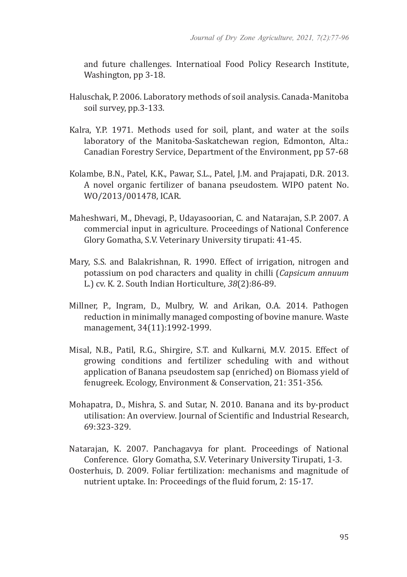and future challenges. Internatioal Food Policy Research Institute, Washington, pp 3-18.

- Haluschak, P. 2006. Laboratory methods of soil analysis. Canada-Manitoba soil survey, pp.3-133.
- Kalra, Y.P. 1971. Methods used for soil, plant, and water at the soils laboratory of the Manitoba-Saskatchewan region, Edmonton, Alta.: Canadian Forestry Service, Department of the Environment, pp 57-68
- Kolambe, B.N., Patel, K.K., Pawar, S.L., Patel, J.M. and Prajapati, D.R. 2013. A novel organic fertilizer of banana pseudostem. WIPO patent No. WO/2013/001478, ICAR.
- Maheshwari, M., Dhevagi, P., Udayasoorian, C. and Natarajan, S.P. 2007. A commercial input in agriculture. Proceedings of National Conference Glory Gomatha, S.V. Veterinary University tirupati: 41-45.
- Mary, S.S. and Balakrishnan, R. 1990. Effect of irrigation, nitrogen and potassium on pod characters and quality in chilli (*Capsicum annuum* L.) cv. K. 2. South Indian Horticulture, *38*(2):86-89.
- Millner, P., Ingram, D., Mulbry, W. and Arikan, O.A. 2014. Pathogen reduction in minimally managed composting of bovine manure. Waste management, 34(11):1992-1999.
- Misal, N.B., Patil, R.G., Shirgire, S.T. and Kulkarni, M.V. 2015. Effect of growing conditions and fertilizer scheduling with and without application of Banana pseudostem sap (enriched) on Biomass yield of fenugreek. Ecology, Environment & Conservation, 21: 351-356.
- Mohapatra, D., Mishra, S. and Sutar, N. 2010. Banana and its by-product utilisation: An overview. Journal of Scientific and Industrial Research, 69:323-329.
- Natarajan, K. 2007. Panchagavya for plant. Proceedings of National Conference. Glory Gomatha, S.V. Veterinary University Tirupati, 1-3.
- Oosterhuis, D. 2009. Foliar fertilization: mechanisms and magnitude of nutrient uptake. In: Proceedings of the fluid forum, 2: 15-17.